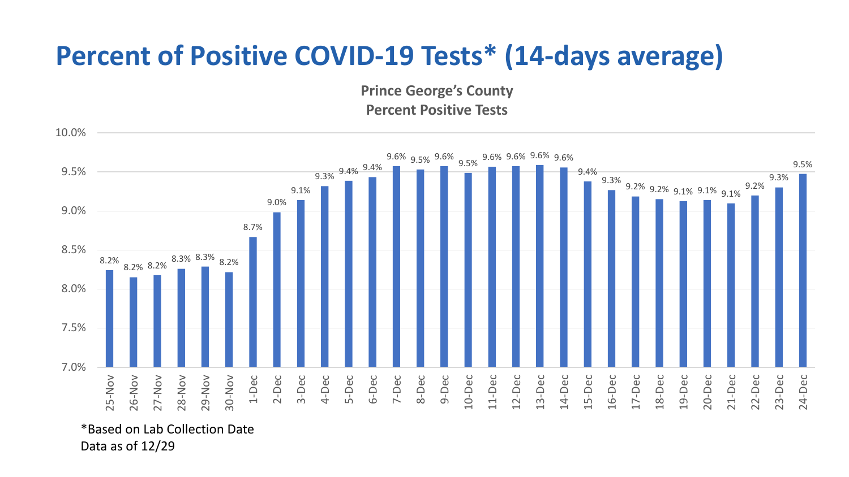## **Percent of Positive COVID-19 Tests\* (14-days average)**

**Prince George's County Percent Positive Tests**



\*Based on Lab Collection Date Data as of 12/29

10.0%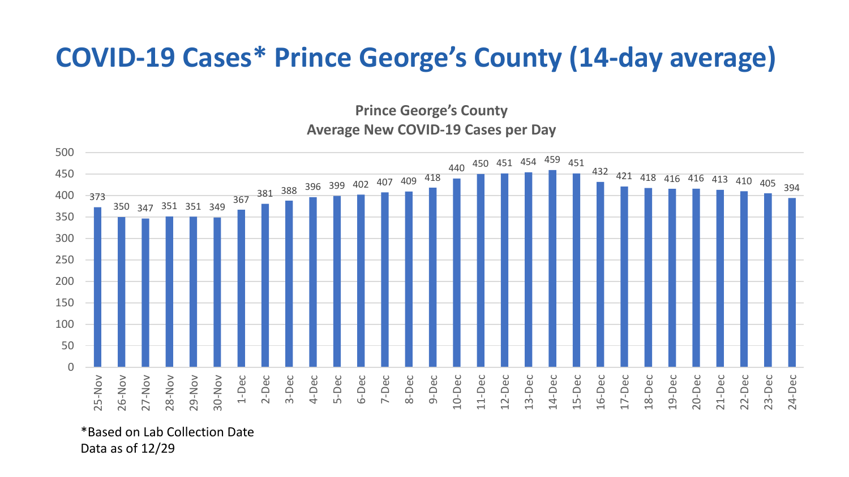## **COVID-19 Cases\* Prince George's County (14-day average)**

**Prince George's County Average New COVID-19 Cases per Day**



\*Based on Lab Collection Date Data as of 12/29